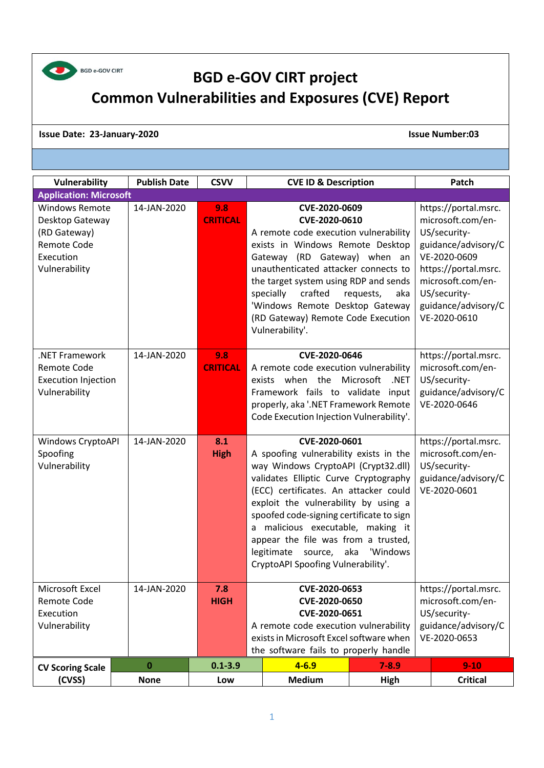

## **BGD e-GOV CIRT project Common Vulnerabilities and Exposures (CVE) Report**

## **Issue Date: 23-January-2020 Issue Number:03**

| Vulnerability                                                                                         | <b>Publish Date</b> | <b>CSVV</b>            | <b>CVE ID &amp; Description</b>                                                                                                                                                                                                                                                                                                                                                                                                 |                                                                                                                                                                                                      | Patch                                                                                            |
|-------------------------------------------------------------------------------------------------------|---------------------|------------------------|---------------------------------------------------------------------------------------------------------------------------------------------------------------------------------------------------------------------------------------------------------------------------------------------------------------------------------------------------------------------------------------------------------------------------------|------------------------------------------------------------------------------------------------------------------------------------------------------------------------------------------------------|--------------------------------------------------------------------------------------------------|
| <b>Application: Microsoft</b>                                                                         |                     |                        |                                                                                                                                                                                                                                                                                                                                                                                                                                 |                                                                                                                                                                                                      |                                                                                                  |
| <b>Windows Remote</b><br>Desktop Gateway<br>(RD Gateway)<br>Remote Code<br>Execution<br>Vulnerability | 14-JAN-2020         | 9.8<br><b>CRITICAL</b> | CVE-2020-0609<br>CVE-2020-0610<br>A remote code execution vulnerability<br>exists in Windows Remote Desktop<br>Gateway (RD Gateway) when an<br>unauthenticated attacker connects to<br>the target system using RDP and sends<br>crafted<br>specially<br>requests,<br>'Windows Remote Desktop Gateway<br>(RD Gateway) Remote Code Execution<br>Vulnerability'.                                                                   | https://portal.msrc.<br>microsoft.com/en-<br>US/security-<br>guidance/advisory/C<br>VE-2020-0609<br>https://portal.msrc.<br>microsoft.com/en-<br>US/security-<br>guidance/advisory/C<br>VE-2020-0610 |                                                                                                  |
| .NET Framework<br>Remote Code<br><b>Execution Injection</b><br>Vulnerability                          | 14-JAN-2020         | 9.8<br><b>CRITICAL</b> | CVE-2020-0646<br>A remote code execution vulnerability<br>when the<br>exists<br>Framework fails to validate input<br>properly, aka '.NET Framework Remote<br>Code Execution Injection Vulnerability'.                                                                                                                                                                                                                           | Microsoft<br>.NET                                                                                                                                                                                    | https://portal.msrc.<br>microsoft.com/en-<br>US/security-<br>guidance/advisory/C<br>VE-2020-0646 |
| Windows CryptoAPI<br>Spoofing<br>Vulnerability                                                        | 14-JAN-2020         | 8.1<br><b>High</b>     | CVE-2020-0601<br>A spoofing vulnerability exists in the<br>way Windows CryptoAPI (Crypt32.dll)<br>validates Elliptic Curve Cryptography<br>(ECC) certificates. An attacker could<br>exploit the vulnerability by using a<br>spoofed code-signing certificate to sign<br>a malicious executable, making it<br>appear the file was from a trusted,<br>aka<br>'Windows<br>legitimate source,<br>CryptoAPI Spoofing Vulnerability'. |                                                                                                                                                                                                      | https://portal.msrc.<br>microsoft.com/en-<br>US/security-<br>guidance/advisory/C<br>VE-2020-0601 |
| Microsoft Excel<br>Remote Code<br>Execution<br>Vulnerability                                          | 14-JAN-2020         | 7.8<br><b>HIGH</b>     | CVE-2020-0653<br>CVE-2020-0650<br>CVE-2020-0651<br>A remote code execution vulnerability<br>exists in Microsoft Excel software when<br>the software fails to properly handle                                                                                                                                                                                                                                                    | https://portal.msrc.<br>microsoft.com/en-<br>US/security-<br>guidance/advisory/C<br>VE-2020-0653                                                                                                     |                                                                                                  |
| <b>CV Scoring Scale</b>                                                                               | 0                   | $0.1 - 3.9$            | $4 - 6.9$                                                                                                                                                                                                                                                                                                                                                                                                                       | $7 - 8.9$                                                                                                                                                                                            | $9 - 10$                                                                                         |
| (CVSS)                                                                                                | <b>None</b>         | Low                    | <b>Medium</b>                                                                                                                                                                                                                                                                                                                                                                                                                   | <b>High</b>                                                                                                                                                                                          | <b>Critical</b>                                                                                  |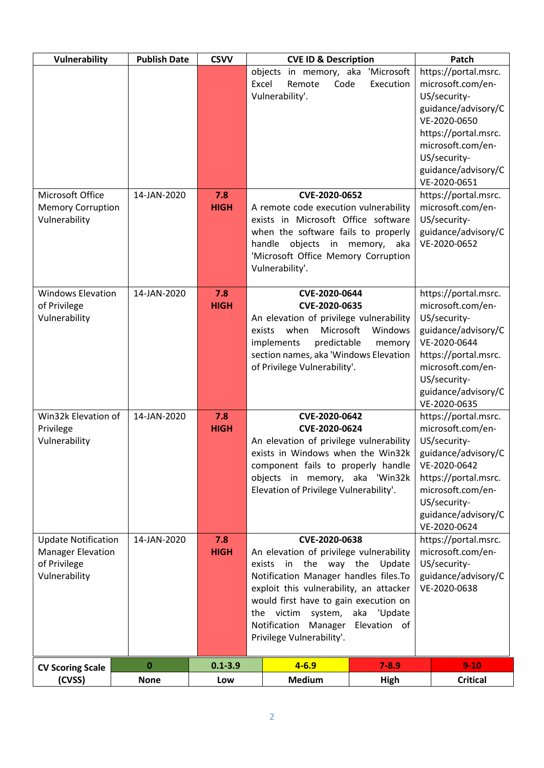| Vulnerability                                                                           | <b>Publish Date</b> | <b>CSVV</b>        | <b>CVE ID &amp; Description</b>                                                                                                                                                                                                                                                                                                     |                         | Patch                                                                                                                                                                                                |
|-----------------------------------------------------------------------------------------|---------------------|--------------------|-------------------------------------------------------------------------------------------------------------------------------------------------------------------------------------------------------------------------------------------------------------------------------------------------------------------------------------|-------------------------|------------------------------------------------------------------------------------------------------------------------------------------------------------------------------------------------------|
|                                                                                         |                     |                    | objects<br>in memory, aka<br>Excel<br>Remote<br>Code<br>Vulnerability'.                                                                                                                                                                                                                                                             | 'Microsoft<br>Execution | https://portal.msrc.<br>microsoft.com/en-<br>US/security-<br>guidance/advisory/C<br>VE-2020-0650<br>https://portal.msrc.                                                                             |
|                                                                                         |                     |                    |                                                                                                                                                                                                                                                                                                                                     |                         | microsoft.com/en-<br>US/security-<br>guidance/advisory/C<br>VE-2020-0651                                                                                                                             |
| Microsoft Office<br><b>Memory Corruption</b><br>Vulnerability                           | 14-JAN-2020         | 7.8<br><b>HIGH</b> | CVE-2020-0652<br>A remote code execution vulnerability<br>exists in Microsoft Office software<br>when the software fails to properly<br>objects in<br>handle<br>'Microsoft Office Memory Corruption<br>Vulnerability'.                                                                                                              | memory, aka             | https://portal.msrc.<br>microsoft.com/en-<br>US/security-<br>guidance/advisory/C<br>VE-2020-0652                                                                                                     |
| <b>Windows Elevation</b><br>of Privilege<br>Vulnerability                               | 14-JAN-2020         | 7.8<br><b>HIGH</b> | CVE-2020-0644<br>CVE-2020-0635<br>An elevation of privilege vulnerability<br>Microsoft<br>when<br>exists<br>implements<br>predictable<br>section names, aka 'Windows Elevation<br>of Privilege Vulnerability'.                                                                                                                      | Windows<br>memory       | https://portal.msrc.<br>microsoft.com/en-<br>US/security-<br>guidance/advisory/C<br>VE-2020-0644<br>https://portal.msrc.<br>microsoft.com/en-<br>US/security-<br>guidance/advisory/C<br>VE-2020-0635 |
| Win32k Elevation of<br>Privilege<br>Vulnerability                                       | 14-JAN-2020         | 7.8<br><b>HIGH</b> | CVE-2020-0642<br>CVE-2020-0624<br>An elevation of privilege vulnerability<br>exists in Windows when the Win32k<br>component fails to properly handle<br>objects in memory, aka 'Win32k<br>Elevation of Privilege Vulnerability'.                                                                                                    |                         | https://portal.msrc.<br>microsoft.com/en-<br>US/security-<br>guidance/advisory/C<br>VE-2020-0642<br>https://portal.msrc.<br>microsoft.com/en-<br>US/security-<br>guidance/advisory/C<br>VE-2020-0624 |
| <b>Update Notification</b><br><b>Manager Elevation</b><br>of Privilege<br>Vulnerability | 14-JAN-2020         | 7.8<br><b>HIGH</b> | CVE-2020-0638<br>An elevation of privilege vulnerability<br>in the way the Update<br>exists<br>Notification Manager handles files. To<br>exploit this vulnerability, an attacker<br>would first have to gain execution on<br>the victim<br>system, aka 'Update<br>Notification<br>Manager Elevation of<br>Privilege Vulnerability'. |                         | https://portal.msrc.<br>microsoft.com/en-<br>US/security-<br>guidance/advisory/C<br>VE-2020-0638                                                                                                     |
| <b>CV Scoring Scale</b>                                                                 | $\bf{0}$            | $0.1 - 3.9$        | $4 - 6.9$                                                                                                                                                                                                                                                                                                                           | $7 - 8.9$               | $9 - 10$                                                                                                                                                                                             |
| (CVSS)                                                                                  | <b>None</b>         | Low                | <b>Medium</b>                                                                                                                                                                                                                                                                                                                       | High                    | <b>Critical</b>                                                                                                                                                                                      |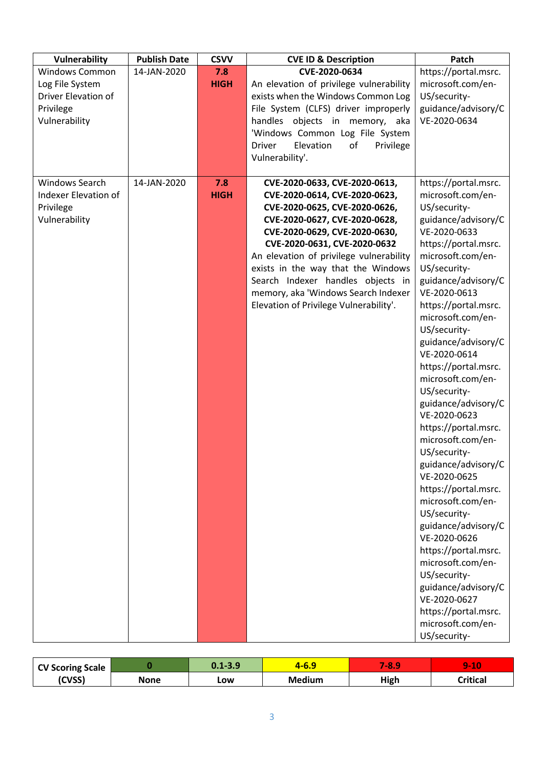| Vulnerability         | <b>Publish Date</b> | <b>CSVV</b> | <b>CVE ID &amp; Description</b>               | Patch                               |
|-----------------------|---------------------|-------------|-----------------------------------------------|-------------------------------------|
| <b>Windows Common</b> | 14-JAN-2020         | 7.8         | CVE-2020-0634                                 | https://portal.msrc.                |
| Log File System       |                     | <b>HIGH</b> | An elevation of privilege vulnerability       | microsoft.com/en-                   |
| Driver Elevation of   |                     |             | exists when the Windows Common Log            | US/security-                        |
| Privilege             |                     |             | File System (CLFS) driver improperly          | guidance/advisory/C                 |
| Vulnerability         |                     |             | handles objects in memory, aka                | VE-2020-0634                        |
|                       |                     |             | 'Windows Common Log File System               |                                     |
|                       |                     |             | Elevation<br>of<br>Privilege<br><b>Driver</b> |                                     |
|                       |                     |             | Vulnerability'.                               |                                     |
|                       |                     |             |                                               |                                     |
| Windows Search        | 14-JAN-2020         | 7.8         | CVE-2020-0633, CVE-2020-0613,                 | https://portal.msrc.                |
| Indexer Elevation of  |                     | <b>HIGH</b> | CVE-2020-0614, CVE-2020-0623,                 | microsoft.com/en-                   |
| Privilege             |                     |             | CVE-2020-0625, CVE-2020-0626,                 | US/security-                        |
| Vulnerability         |                     |             | CVE-2020-0627, CVE-2020-0628,                 | guidance/advisory/C                 |
|                       |                     |             | CVE-2020-0629, CVE-2020-0630,                 | VE-2020-0633                        |
|                       |                     |             | CVE-2020-0631, CVE-2020-0632                  | https://portal.msrc.                |
|                       |                     |             | An elevation of privilege vulnerability       | microsoft.com/en-                   |
|                       |                     |             | exists in the way that the Windows            | US/security-                        |
|                       |                     |             | Search Indexer handles objects in             | guidance/advisory/C                 |
|                       |                     |             | memory, aka 'Windows Search Indexer           | VE-2020-0613                        |
|                       |                     |             | Elevation of Privilege Vulnerability'.        | https://portal.msrc.                |
|                       |                     |             |                                               | microsoft.com/en-                   |
|                       |                     |             |                                               | US/security-                        |
|                       |                     |             |                                               | guidance/advisory/C                 |
|                       |                     |             |                                               | VE-2020-0614                        |
|                       |                     |             |                                               | https://portal.msrc.                |
|                       |                     |             |                                               | microsoft.com/en-                   |
|                       |                     |             |                                               | US/security-                        |
|                       |                     |             |                                               | guidance/advisory/C<br>VE-2020-0623 |
|                       |                     |             |                                               | https://portal.msrc.                |
|                       |                     |             |                                               | microsoft.com/en-                   |
|                       |                     |             |                                               | US/security-                        |
|                       |                     |             |                                               | guidance/advisory/C                 |
|                       |                     |             |                                               | VE-2020-0625                        |
|                       |                     |             |                                               | https://portal.msrc.                |
|                       |                     |             |                                               | microsoft.com/en-                   |
|                       |                     |             |                                               | US/security-                        |
|                       |                     |             |                                               | guidance/advisory/C<br>VE-2020-0626 |
|                       |                     |             |                                               | https://portal.msrc.                |
|                       |                     |             |                                               | microsoft.com/en-                   |
|                       |                     |             |                                               | US/security-                        |
|                       |                     |             |                                               | guidance/advisory/C                 |
|                       |                     |             |                                               | VE-2020-0627                        |
|                       |                     |             |                                               | https://portal.msrc.                |
|                       |                     |             |                                               | microsoft.com/en-                   |
|                       |                     |             |                                               | US/security-                        |

| <b>CV Scoring Scale</b> |      | $0.1 - 3.9$ | .o.s   | <b>7-81</b> | -40<br><b>STATISTICS</b> |
|-------------------------|------|-------------|--------|-------------|--------------------------|
| (CVSS)                  | None | LOW         | Medium | High        | Critical                 |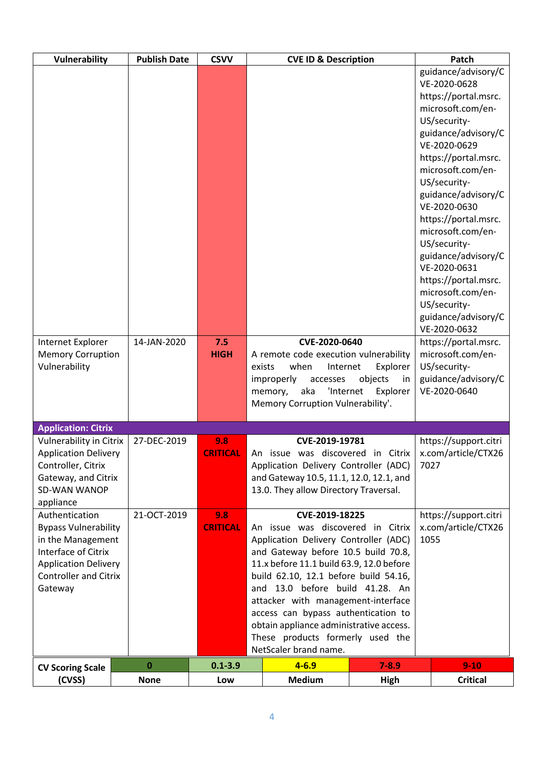| Vulnerability                  | <b>Publish Date</b> | <b>CSVV</b>     |                                                                                 | <b>CVE ID &amp; Description</b>         |               |      | Patch                               |
|--------------------------------|---------------------|-----------------|---------------------------------------------------------------------------------|-----------------------------------------|---------------|------|-------------------------------------|
|                                |                     |                 |                                                                                 |                                         |               |      | guidance/advisory/C                 |
|                                |                     |                 |                                                                                 |                                         |               |      | VE-2020-0628                        |
|                                |                     |                 |                                                                                 |                                         |               |      | https://portal.msrc.                |
|                                |                     |                 |                                                                                 |                                         |               |      | microsoft.com/en-                   |
|                                |                     |                 |                                                                                 |                                         |               |      | US/security-                        |
|                                |                     |                 |                                                                                 |                                         |               |      | guidance/advisory/C                 |
|                                |                     |                 |                                                                                 |                                         |               |      | VE-2020-0629                        |
|                                |                     |                 |                                                                                 |                                         |               |      | https://portal.msrc.                |
|                                |                     |                 |                                                                                 |                                         |               |      | microsoft.com/en-                   |
|                                |                     |                 |                                                                                 |                                         |               |      | US/security-                        |
|                                |                     |                 |                                                                                 |                                         |               |      | guidance/advisory/C                 |
|                                |                     |                 |                                                                                 |                                         |               |      | VE-2020-0630                        |
|                                |                     |                 |                                                                                 |                                         |               |      | https://portal.msrc.                |
|                                |                     |                 |                                                                                 |                                         |               |      | microsoft.com/en-                   |
|                                |                     |                 |                                                                                 |                                         |               |      | US/security-<br>guidance/advisory/C |
|                                |                     |                 |                                                                                 |                                         |               |      | VE-2020-0631                        |
|                                |                     |                 |                                                                                 |                                         |               |      | https://portal.msrc.                |
|                                |                     |                 |                                                                                 |                                         |               |      | microsoft.com/en-                   |
|                                |                     |                 |                                                                                 |                                         |               |      | US/security-                        |
|                                |                     |                 |                                                                                 |                                         |               |      | guidance/advisory/C                 |
|                                |                     |                 |                                                                                 |                                         |               |      | VE-2020-0632                        |
| Internet Explorer              | 14-JAN-2020         | 7.5             |                                                                                 | CVE-2020-0640                           |               |      | https://portal.msrc.                |
| <b>Memory Corruption</b>       |                     | <b>HIGH</b>     |                                                                                 | A remote code execution vulnerability   |               |      | microsoft.com/en-                   |
| Vulnerability                  |                     |                 | exists                                                                          | when<br>Internet                        | Explorer      |      | US/security-                        |
|                                |                     |                 |                                                                                 | improperly<br>accesses                  | objects<br>in |      | guidance/advisory/C                 |
|                                |                     |                 |                                                                                 | aka<br>'Internet<br>memory,             | Explorer      |      | VE-2020-0640                        |
|                                |                     |                 |                                                                                 | Memory Corruption Vulnerability'.       |               |      |                                     |
|                                |                     |                 |                                                                                 |                                         |               |      |                                     |
| <b>Application: Citrix</b>     |                     |                 |                                                                                 |                                         |               |      |                                     |
| <b>Vulnerability in Citrix</b> | 27-DEC-2019         | 9.8             |                                                                                 | CVE-2019-19781                          |               |      | https://support.citri               |
| <b>Application Delivery</b>    |                     | <b>CRITICAL</b> |                                                                                 | An issue was discovered in Citrix       |               |      | x.com/article/CTX26                 |
| Controller, Citrix             |                     |                 |                                                                                 | Application Delivery Controller (ADC)   |               | 7027 |                                     |
| Gateway, and Citrix            |                     |                 |                                                                                 | and Gateway 10.5, 11.1, 12.0, 12.1, and |               |      |                                     |
| SD-WAN WANOP                   |                     |                 |                                                                                 | 13.0. They allow Directory Traversal.   |               |      |                                     |
| appliance<br>Authentication    | 21-OCT-2019         | 9.8             |                                                                                 | CVE-2019-18225                          |               |      | https://support.citri               |
| <b>Bypass Vulnerability</b>    |                     | <b>CRITICAL</b> |                                                                                 | An issue was discovered in Citrix       |               |      | x.com/article/CTX26                 |
| in the Management              |                     |                 |                                                                                 | Application Delivery Controller (ADC)   |               | 1055 |                                     |
| Interface of Citrix            |                     |                 |                                                                                 |                                         |               |      |                                     |
| <b>Application Delivery</b>    |                     |                 | and Gateway before 10.5 build 70.8,<br>11.x before 11.1 build 63.9, 12.0 before |                                         |               |      |                                     |
| <b>Controller and Citrix</b>   |                     |                 | build 62.10, 12.1 before build 54.16,                                           |                                         |               |      |                                     |
| Gateway                        |                     |                 | and 13.0 before build 41.28. An                                                 |                                         |               |      |                                     |
|                                |                     |                 | attacker with management-interface                                              |                                         |               |      |                                     |
|                                |                     |                 | access can bypass authentication to                                             |                                         |               |      |                                     |
|                                |                     |                 |                                                                                 | obtain appliance administrative access. |               |      |                                     |
|                                |                     |                 |                                                                                 | These products formerly used the        |               |      |                                     |
|                                |                     |                 |                                                                                 | NetScaler brand name.                   |               |      |                                     |
| <b>CV Scoring Scale</b>        | $\bf{0}$            | $0.1 - 3.9$     |                                                                                 | $4 - 6.9$                               | $7 - 8.9$     |      | $9-10$                              |
| (CVSS)                         | <b>None</b>         | Low             |                                                                                 | <b>Medium</b>                           | High          |      | <b>Critical</b>                     |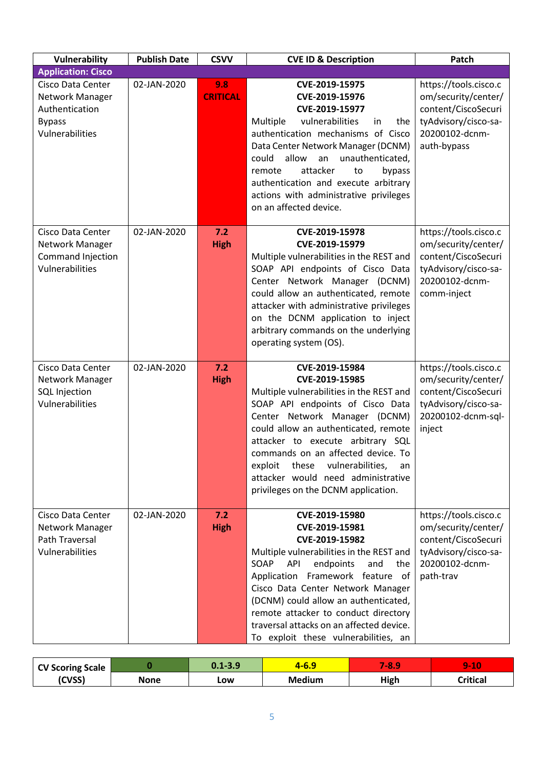| Vulnerability                                                                              | <b>Publish Date</b> | <b>CSVV</b>            | <b>CVE ID &amp; Description</b>                                                                                                                                                                                                                                                                                                                                                                 | Patch                                                                                                                        |
|--------------------------------------------------------------------------------------------|---------------------|------------------------|-------------------------------------------------------------------------------------------------------------------------------------------------------------------------------------------------------------------------------------------------------------------------------------------------------------------------------------------------------------------------------------------------|------------------------------------------------------------------------------------------------------------------------------|
| <b>Application: Cisco</b>                                                                  |                     |                        |                                                                                                                                                                                                                                                                                                                                                                                                 |                                                                                                                              |
| Cisco Data Center<br>Network Manager<br>Authentication<br><b>Bypass</b><br>Vulnerabilities | 02-JAN-2020         | 9.8<br><b>CRITICAL</b> | CVE-2019-15975<br>CVE-2019-15976<br>CVE-2019-15977<br>vulnerabilities<br>Multiple<br>the<br>in<br>authentication mechanisms of Cisco<br>Data Center Network Manager (DCNM)<br>could<br>allow<br>unauthenticated,<br>an<br>attacker<br>remote<br>bypass<br>to<br>authentication and execute arbitrary<br>actions with administrative privileges<br>on an affected device.                        | https://tools.cisco.c<br>om/security/center/<br>content/CiscoSecuri<br>tyAdvisory/cisco-sa-<br>20200102-dcnm-<br>auth-bypass |
| Cisco Data Center<br>Network Manager<br>Command Injection<br>Vulnerabilities               | 02-JAN-2020         | 7.2<br><b>High</b>     | CVE-2019-15978<br>CVE-2019-15979<br>Multiple vulnerabilities in the REST and<br>SOAP API endpoints of Cisco Data<br>Center Network Manager (DCNM)<br>could allow an authenticated, remote<br>attacker with administrative privileges<br>on the DCNM application to inject<br>arbitrary commands on the underlying<br>operating system (OS).                                                     | https://tools.cisco.c<br>om/security/center/<br>content/CiscoSecuri<br>tyAdvisory/cisco-sa-<br>20200102-dcnm-<br>comm-inject |
| Cisco Data Center<br>Network Manager<br><b>SQL Injection</b><br>Vulnerabilities            | 02-JAN-2020         | 7.2<br><b>High</b>     | CVE-2019-15984<br>CVE-2019-15985<br>Multiple vulnerabilities in the REST and<br>SOAP API endpoints of Cisco Data<br>Center Network Manager (DCNM)<br>could allow an authenticated, remote<br>attacker to execute arbitrary SQL<br>commands on an affected device. To<br>exploit<br>these<br>vulnerabilities,<br>an<br>attacker would need administrative<br>privileges on the DCNM application. | https://tools.cisco.c<br>om/security/center/<br>content/CiscoSecuri<br>tyAdvisory/cisco-sa-<br>20200102-dcnm-sql-<br>inject  |
| Cisco Data Center<br>Network Manager<br><b>Path Traversal</b><br>Vulnerabilities           | 02-JAN-2020         | 7.2<br><b>High</b>     | CVE-2019-15980<br>CVE-2019-15981<br>CVE-2019-15982<br>Multiple vulnerabilities in the REST and<br>SOAP<br>API<br>endpoints<br>and<br>the<br>Application Framework feature of<br>Cisco Data Center Network Manager<br>(DCNM) could allow an authenticated,<br>remote attacker to conduct directory<br>traversal attacks on an affected device.<br>To exploit these vulnerabilities, an           | https://tools.cisco.c<br>om/security/center/<br>content/CiscoSecuri<br>tyAdvisory/cisco-sa-<br>20200102-dcnm-<br>path-trav   |

| <b>CV Scoring Scale</b> |      | $0.1 - 3.9$ | -0.5          | <b>7-81</b> | -4<br>w<br>$\sim$ $\sim$ |
|-------------------------|------|-------------|---------------|-------------|--------------------------|
| (CVSS)                  | None | Low         | <b>Medium</b> | High        | <b>Critical</b>          |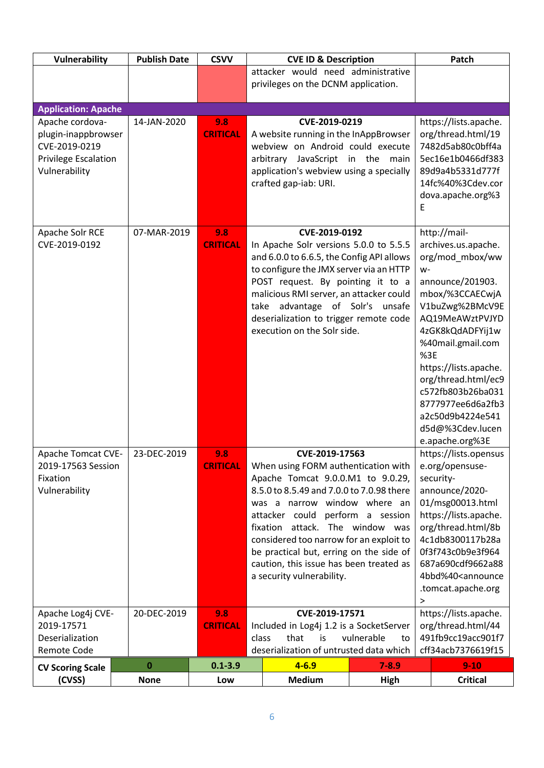| Vulnerability                                   | <b>Publish Date</b> | <b>CSVV</b>            | <b>CVE ID &amp; Description</b>                                              |                   | Patch                                    |
|-------------------------------------------------|---------------------|------------------------|------------------------------------------------------------------------------|-------------------|------------------------------------------|
|                                                 |                     |                        | attacker would need administrative                                           |                   |                                          |
|                                                 |                     |                        | privileges on the DCNM application.                                          |                   |                                          |
| <b>Application: Apache</b>                      |                     |                        |                                                                              |                   |                                          |
| Apache cordova-                                 | 14-JAN-2020         | 9.8                    | CVE-2019-0219                                                                |                   | https://lists.apache.                    |
| plugin-inappbrowser                             |                     | <b>CRITICAL</b>        | A website running in the InAppBrowser                                        |                   | org/thread.html/19                       |
| CVE-2019-0219                                   |                     |                        | webview on Android could execute                                             |                   | 7482d5ab80c0bff4a                        |
| <b>Privilege Escalation</b><br>Vulnerability    |                     |                        | arbitrary JavaScript in the<br>application's webview using a specially       | main              | 5ec16e1b0466df383<br>89d9a4b5331d777f    |
|                                                 |                     |                        | crafted gap-iab: URI.                                                        |                   | 14fc%40%3Cdev.cor                        |
|                                                 |                     |                        |                                                                              |                   | dova.apache.org%3                        |
|                                                 |                     |                        |                                                                              |                   | E                                        |
|                                                 |                     |                        |                                                                              |                   |                                          |
| Apache Solr RCE<br>CVE-2019-0192                | 07-MAR-2019         | 9.8<br><b>CRITICAL</b> | CVE-2019-0192<br>In Apache Solr versions 5.0.0 to 5.5.5                      |                   | http://mail-<br>archives.us.apache.      |
|                                                 |                     |                        | and 6.0.0 to 6.6.5, the Config API allows                                    |                   | org/mod mbox/ww                          |
|                                                 |                     |                        | to configure the JMX server via an HTTP                                      |                   | W-                                       |
|                                                 |                     |                        | POST request. By pointing it to a                                            |                   | announce/201903.                         |
|                                                 |                     |                        | malicious RMI server, an attacker could                                      |                   | mbox/%3CCAECwjA                          |
|                                                 |                     |                        | advantage of Solr's unsafe<br>take<br>deserialization to trigger remote code |                   | V1buZwg%2BMcV9E<br>AQ19MeAWztPVJYD       |
|                                                 |                     |                        | execution on the Solr side.                                                  |                   | 4zGK8kQdADFYij1w                         |
|                                                 |                     |                        |                                                                              |                   | %40mail.gmail.com                        |
|                                                 |                     |                        |                                                                              |                   | %3E                                      |
|                                                 |                     |                        |                                                                              |                   | https://lists.apache.                    |
|                                                 |                     |                        |                                                                              |                   | org/thread.html/ec9<br>c572fb803b26ba031 |
|                                                 |                     |                        |                                                                              |                   | 8777977ee6d6a2fb3                        |
|                                                 |                     |                        |                                                                              |                   | a2c50d9b4224e541                         |
|                                                 |                     |                        |                                                                              |                   | d5d@%3Cdev.lucen                         |
|                                                 |                     |                        |                                                                              |                   | e.apache.org%3E                          |
| <b>Apache Tomcat CVE-</b><br>2019-17563 Session | 23-DEC-2019         | 9.8<br><b>CRITICAL</b> | CVE-2019-17563<br>When using FORM authentication with                        |                   | https://lists.opensus<br>e.org/opensuse- |
| Fixation                                        |                     |                        | Apache Tomcat 9.0.0.M1 to 9.0.29,                                            |                   | security-                                |
| Vulnerability                                   |                     |                        | 8.5.0 to 8.5.49 and 7.0.0 to 7.0.98 there                                    |                   | announce/2020-                           |
|                                                 |                     |                        | was a narrow window where an                                                 |                   | 01/msg00013.html                         |
|                                                 |                     |                        | attacker could                                                               | perform a session | https://lists.apache.                    |
|                                                 |                     |                        | fixation attack.<br>considered too narrow for an exploit to                  | The window was    | org/thread.html/8b<br>4c1db8300117b28a   |
|                                                 |                     |                        | be practical but, erring on the side of                                      |                   | 0f3f743c0b9e3f964                        |
|                                                 |                     |                        | caution, this issue has been treated as                                      |                   | 687a690cdf9662a88                        |
|                                                 |                     |                        | a security vulnerability.                                                    |                   | 4bbd%40 <announce< td=""></announce<>    |
|                                                 |                     |                        |                                                                              |                   | .tomcat.apache.org                       |
| Apache Log4j CVE-                               | 20-DEC-2019         | 9.8                    | CVE-2019-17571                                                               |                   | $\, > \,$<br>https://lists.apache.       |
| 2019-17571                                      |                     | <b>CRITICAL</b>        | Included in Log4j 1.2 is a SocketServer                                      |                   | org/thread.html/44                       |
| Deserialization                                 |                     |                        | class<br>that<br>is                                                          | vulnerable<br>to  | 491fb9cc19acc901f7                       |
| Remote Code                                     |                     |                        | deserialization of untrusted data which                                      |                   | cff34acb7376619f15                       |
| <b>CV Scoring Scale</b>                         | $\bf{0}$            | $0.1 - 3.9$            | $4 - 6.9$                                                                    | $7 - 8.9$         | $9 - 10$                                 |
| (CVSS)                                          | <b>None</b>         | Low                    | <b>Medium</b>                                                                | High              | <b>Critical</b>                          |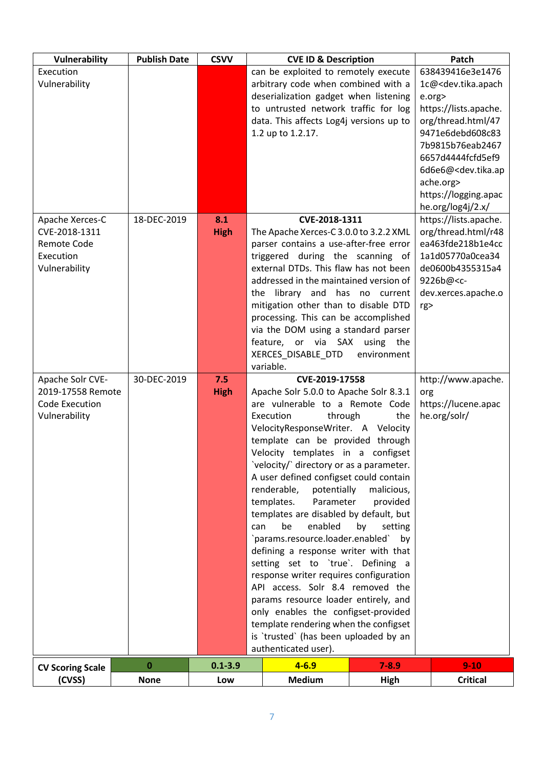| 638439416e3e1476<br>Execution<br>can be exploited to remotely execute<br>Vulnerability<br>arbitrary code when combined with a<br>1c@ <dev.tika.apach<br>deserialization gadget when listening<br/>e.org&gt;<br/>to untrusted network traffic for log<br/>https://lists.apache.<br/>data. This affects Log4j versions up to<br/>org/thread.html/47<br/>1.2 up to 1.2.17.<br/>9471e6debd608c83<br/>7b9815b76eab2467<br/>6657d4444fcfd5ef9<br/>6d6e6@<dev.tika.ap<br>ache.org&gt;<br/>https://logging.apac<br/>he.org/log4j/2.x/<br/>18-DEC-2019<br/>8.1<br/>CVE-2018-1311<br/>https://lists.apache.<br/>Apache Xerces-C<br/>org/thread.html/r48<br/>CVE-2018-1311<br/><b>High</b><br/>The Apache Xerces-C 3.0.0 to 3.2.2 XML<br/>ea463fde218b1e4cc<br/><b>Remote Code</b><br/>parser contains a use-after-free error<br/>triggered during the scanning of<br/>Execution<br/>1a1d05770a0cea34<br/>external DTDs. This flaw has not been<br/>Vulnerability<br/>de0600b4355315a4<br/>addressed in the maintained version of<br/>9226b@<c-<br>the library and has no current<br/>dev.xerces.apache.o<br/>mitigation other than to disable DTD<br/>rg&gt;<br/>processing. This can be accomplished<br/>via the DOM using a standard parser<br/>feature, or via SAX<br/>using the<br/>XERCES_DISABLE_DTD<br/>environment<br/>variable.<br/>Apache Solr CVE-<br/>30-DEC-2019<br/>7.5<br/>CVE-2019-17558<br/>http://www.apache.<br/>2019-17558 Remote<br/>Apache Solr 5.0.0 to Apache Solr 8.3.1<br/><b>High</b><br/>org<br/>are vulnerable to a Remote Code<br/>https://lucene.apac<br/>Code Execution<br/>Vulnerability<br/>he.org/solr/<br/>Execution<br/>through<br/>the<br/>VelocityResponseWriter. A Velocity<br/>template can be provided through<br/>Velocity templates in a configset<br/>'velocity/' directory or as a parameter.<br/>A user defined configset could contain<br/>renderable,<br/>potentially<br/>malicious,<br/>templates.<br/>Parameter<br/>provided<br/>templates are disabled by default, but<br/>be<br/>enabled<br/>can<br/>by<br/>setting<br/>`params.resource.loader.enabled`<br/>by<br/>defining a response writer with that<br/>setting set to 'true'. Defining a<br/>response writer requires configuration<br/>API access. Solr 8.4 removed the<br/>params resource loader entirely, and<br/>only enables the configset-provided<br/>template rendering when the configset<br/>is 'trusted' (has been uploaded by an<br/>authenticated user).<br/><math>0.1 - 3.9</math><br/><math>4 - 6.9</math><br/><math>7 - 8.9</math><br/><math>9-10</math><br/><math display="inline">\pmb{0}</math><br/><b>CV Scoring Scale</b><br/><b>Medium</b><br/>(CVSS)<br/><b>None</b><br/><b>Critical</b><br/><b>High</b><br/>Low</c-<br></dev.tika.ap<br></dev.tika.apach<br> | Vulnerability | <b>Publish Date</b> | <b>CSVV</b> | <b>CVE ID &amp; Description</b> | Patch |
|----------------------------------------------------------------------------------------------------------------------------------------------------------------------------------------------------------------------------------------------------------------------------------------------------------------------------------------------------------------------------------------------------------------------------------------------------------------------------------------------------------------------------------------------------------------------------------------------------------------------------------------------------------------------------------------------------------------------------------------------------------------------------------------------------------------------------------------------------------------------------------------------------------------------------------------------------------------------------------------------------------------------------------------------------------------------------------------------------------------------------------------------------------------------------------------------------------------------------------------------------------------------------------------------------------------------------------------------------------------------------------------------------------------------------------------------------------------------------------------------------------------------------------------------------------------------------------------------------------------------------------------------------------------------------------------------------------------------------------------------------------------------------------------------------------------------------------------------------------------------------------------------------------------------------------------------------------------------------------------------------------------------------------------------------------------------------------------------------------------------------------------------------------------------------------------------------------------------------------------------------------------------------------------------------------------------------------------------------------------------------------------------------------------------------------------------------------------------------------------------------------------------------------------------------------------------------------------------------------------------------------------------------------------------------------------------------------------------------------------------------------------------------------------|---------------|---------------------|-------------|---------------------------------|-------|
|                                                                                                                                                                                                                                                                                                                                                                                                                                                                                                                                                                                                                                                                                                                                                                                                                                                                                                                                                                                                                                                                                                                                                                                                                                                                                                                                                                                                                                                                                                                                                                                                                                                                                                                                                                                                                                                                                                                                                                                                                                                                                                                                                                                                                                                                                                                                                                                                                                                                                                                                                                                                                                                                                                                                                                                        |               |                     |             |                                 |       |
|                                                                                                                                                                                                                                                                                                                                                                                                                                                                                                                                                                                                                                                                                                                                                                                                                                                                                                                                                                                                                                                                                                                                                                                                                                                                                                                                                                                                                                                                                                                                                                                                                                                                                                                                                                                                                                                                                                                                                                                                                                                                                                                                                                                                                                                                                                                                                                                                                                                                                                                                                                                                                                                                                                                                                                                        |               |                     |             |                                 |       |
|                                                                                                                                                                                                                                                                                                                                                                                                                                                                                                                                                                                                                                                                                                                                                                                                                                                                                                                                                                                                                                                                                                                                                                                                                                                                                                                                                                                                                                                                                                                                                                                                                                                                                                                                                                                                                                                                                                                                                                                                                                                                                                                                                                                                                                                                                                                                                                                                                                                                                                                                                                                                                                                                                                                                                                                        |               |                     |             |                                 |       |
|                                                                                                                                                                                                                                                                                                                                                                                                                                                                                                                                                                                                                                                                                                                                                                                                                                                                                                                                                                                                                                                                                                                                                                                                                                                                                                                                                                                                                                                                                                                                                                                                                                                                                                                                                                                                                                                                                                                                                                                                                                                                                                                                                                                                                                                                                                                                                                                                                                                                                                                                                                                                                                                                                                                                                                                        |               |                     |             |                                 |       |
|                                                                                                                                                                                                                                                                                                                                                                                                                                                                                                                                                                                                                                                                                                                                                                                                                                                                                                                                                                                                                                                                                                                                                                                                                                                                                                                                                                                                                                                                                                                                                                                                                                                                                                                                                                                                                                                                                                                                                                                                                                                                                                                                                                                                                                                                                                                                                                                                                                                                                                                                                                                                                                                                                                                                                                                        |               |                     |             |                                 |       |
|                                                                                                                                                                                                                                                                                                                                                                                                                                                                                                                                                                                                                                                                                                                                                                                                                                                                                                                                                                                                                                                                                                                                                                                                                                                                                                                                                                                                                                                                                                                                                                                                                                                                                                                                                                                                                                                                                                                                                                                                                                                                                                                                                                                                                                                                                                                                                                                                                                                                                                                                                                                                                                                                                                                                                                                        |               |                     |             |                                 |       |
|                                                                                                                                                                                                                                                                                                                                                                                                                                                                                                                                                                                                                                                                                                                                                                                                                                                                                                                                                                                                                                                                                                                                                                                                                                                                                                                                                                                                                                                                                                                                                                                                                                                                                                                                                                                                                                                                                                                                                                                                                                                                                                                                                                                                                                                                                                                                                                                                                                                                                                                                                                                                                                                                                                                                                                                        |               |                     |             |                                 |       |
|                                                                                                                                                                                                                                                                                                                                                                                                                                                                                                                                                                                                                                                                                                                                                                                                                                                                                                                                                                                                                                                                                                                                                                                                                                                                                                                                                                                                                                                                                                                                                                                                                                                                                                                                                                                                                                                                                                                                                                                                                                                                                                                                                                                                                                                                                                                                                                                                                                                                                                                                                                                                                                                                                                                                                                                        |               |                     |             |                                 |       |
|                                                                                                                                                                                                                                                                                                                                                                                                                                                                                                                                                                                                                                                                                                                                                                                                                                                                                                                                                                                                                                                                                                                                                                                                                                                                                                                                                                                                                                                                                                                                                                                                                                                                                                                                                                                                                                                                                                                                                                                                                                                                                                                                                                                                                                                                                                                                                                                                                                                                                                                                                                                                                                                                                                                                                                                        |               |                     |             |                                 |       |
|                                                                                                                                                                                                                                                                                                                                                                                                                                                                                                                                                                                                                                                                                                                                                                                                                                                                                                                                                                                                                                                                                                                                                                                                                                                                                                                                                                                                                                                                                                                                                                                                                                                                                                                                                                                                                                                                                                                                                                                                                                                                                                                                                                                                                                                                                                                                                                                                                                                                                                                                                                                                                                                                                                                                                                                        |               |                     |             |                                 |       |
|                                                                                                                                                                                                                                                                                                                                                                                                                                                                                                                                                                                                                                                                                                                                                                                                                                                                                                                                                                                                                                                                                                                                                                                                                                                                                                                                                                                                                                                                                                                                                                                                                                                                                                                                                                                                                                                                                                                                                                                                                                                                                                                                                                                                                                                                                                                                                                                                                                                                                                                                                                                                                                                                                                                                                                                        |               |                     |             |                                 |       |
|                                                                                                                                                                                                                                                                                                                                                                                                                                                                                                                                                                                                                                                                                                                                                                                                                                                                                                                                                                                                                                                                                                                                                                                                                                                                                                                                                                                                                                                                                                                                                                                                                                                                                                                                                                                                                                                                                                                                                                                                                                                                                                                                                                                                                                                                                                                                                                                                                                                                                                                                                                                                                                                                                                                                                                                        |               |                     |             |                                 |       |
|                                                                                                                                                                                                                                                                                                                                                                                                                                                                                                                                                                                                                                                                                                                                                                                                                                                                                                                                                                                                                                                                                                                                                                                                                                                                                                                                                                                                                                                                                                                                                                                                                                                                                                                                                                                                                                                                                                                                                                                                                                                                                                                                                                                                                                                                                                                                                                                                                                                                                                                                                                                                                                                                                                                                                                                        |               |                     |             |                                 |       |
|                                                                                                                                                                                                                                                                                                                                                                                                                                                                                                                                                                                                                                                                                                                                                                                                                                                                                                                                                                                                                                                                                                                                                                                                                                                                                                                                                                                                                                                                                                                                                                                                                                                                                                                                                                                                                                                                                                                                                                                                                                                                                                                                                                                                                                                                                                                                                                                                                                                                                                                                                                                                                                                                                                                                                                                        |               |                     |             |                                 |       |
|                                                                                                                                                                                                                                                                                                                                                                                                                                                                                                                                                                                                                                                                                                                                                                                                                                                                                                                                                                                                                                                                                                                                                                                                                                                                                                                                                                                                                                                                                                                                                                                                                                                                                                                                                                                                                                                                                                                                                                                                                                                                                                                                                                                                                                                                                                                                                                                                                                                                                                                                                                                                                                                                                                                                                                                        |               |                     |             |                                 |       |
|                                                                                                                                                                                                                                                                                                                                                                                                                                                                                                                                                                                                                                                                                                                                                                                                                                                                                                                                                                                                                                                                                                                                                                                                                                                                                                                                                                                                                                                                                                                                                                                                                                                                                                                                                                                                                                                                                                                                                                                                                                                                                                                                                                                                                                                                                                                                                                                                                                                                                                                                                                                                                                                                                                                                                                                        |               |                     |             |                                 |       |
|                                                                                                                                                                                                                                                                                                                                                                                                                                                                                                                                                                                                                                                                                                                                                                                                                                                                                                                                                                                                                                                                                                                                                                                                                                                                                                                                                                                                                                                                                                                                                                                                                                                                                                                                                                                                                                                                                                                                                                                                                                                                                                                                                                                                                                                                                                                                                                                                                                                                                                                                                                                                                                                                                                                                                                                        |               |                     |             |                                 |       |
|                                                                                                                                                                                                                                                                                                                                                                                                                                                                                                                                                                                                                                                                                                                                                                                                                                                                                                                                                                                                                                                                                                                                                                                                                                                                                                                                                                                                                                                                                                                                                                                                                                                                                                                                                                                                                                                                                                                                                                                                                                                                                                                                                                                                                                                                                                                                                                                                                                                                                                                                                                                                                                                                                                                                                                                        |               |                     |             |                                 |       |
|                                                                                                                                                                                                                                                                                                                                                                                                                                                                                                                                                                                                                                                                                                                                                                                                                                                                                                                                                                                                                                                                                                                                                                                                                                                                                                                                                                                                                                                                                                                                                                                                                                                                                                                                                                                                                                                                                                                                                                                                                                                                                                                                                                                                                                                                                                                                                                                                                                                                                                                                                                                                                                                                                                                                                                                        |               |                     |             |                                 |       |
|                                                                                                                                                                                                                                                                                                                                                                                                                                                                                                                                                                                                                                                                                                                                                                                                                                                                                                                                                                                                                                                                                                                                                                                                                                                                                                                                                                                                                                                                                                                                                                                                                                                                                                                                                                                                                                                                                                                                                                                                                                                                                                                                                                                                                                                                                                                                                                                                                                                                                                                                                                                                                                                                                                                                                                                        |               |                     |             |                                 |       |
|                                                                                                                                                                                                                                                                                                                                                                                                                                                                                                                                                                                                                                                                                                                                                                                                                                                                                                                                                                                                                                                                                                                                                                                                                                                                                                                                                                                                                                                                                                                                                                                                                                                                                                                                                                                                                                                                                                                                                                                                                                                                                                                                                                                                                                                                                                                                                                                                                                                                                                                                                                                                                                                                                                                                                                                        |               |                     |             |                                 |       |
|                                                                                                                                                                                                                                                                                                                                                                                                                                                                                                                                                                                                                                                                                                                                                                                                                                                                                                                                                                                                                                                                                                                                                                                                                                                                                                                                                                                                                                                                                                                                                                                                                                                                                                                                                                                                                                                                                                                                                                                                                                                                                                                                                                                                                                                                                                                                                                                                                                                                                                                                                                                                                                                                                                                                                                                        |               |                     |             |                                 |       |
|                                                                                                                                                                                                                                                                                                                                                                                                                                                                                                                                                                                                                                                                                                                                                                                                                                                                                                                                                                                                                                                                                                                                                                                                                                                                                                                                                                                                                                                                                                                                                                                                                                                                                                                                                                                                                                                                                                                                                                                                                                                                                                                                                                                                                                                                                                                                                                                                                                                                                                                                                                                                                                                                                                                                                                                        |               |                     |             |                                 |       |
|                                                                                                                                                                                                                                                                                                                                                                                                                                                                                                                                                                                                                                                                                                                                                                                                                                                                                                                                                                                                                                                                                                                                                                                                                                                                                                                                                                                                                                                                                                                                                                                                                                                                                                                                                                                                                                                                                                                                                                                                                                                                                                                                                                                                                                                                                                                                                                                                                                                                                                                                                                                                                                                                                                                                                                                        |               |                     |             |                                 |       |
|                                                                                                                                                                                                                                                                                                                                                                                                                                                                                                                                                                                                                                                                                                                                                                                                                                                                                                                                                                                                                                                                                                                                                                                                                                                                                                                                                                                                                                                                                                                                                                                                                                                                                                                                                                                                                                                                                                                                                                                                                                                                                                                                                                                                                                                                                                                                                                                                                                                                                                                                                                                                                                                                                                                                                                                        |               |                     |             |                                 |       |
|                                                                                                                                                                                                                                                                                                                                                                                                                                                                                                                                                                                                                                                                                                                                                                                                                                                                                                                                                                                                                                                                                                                                                                                                                                                                                                                                                                                                                                                                                                                                                                                                                                                                                                                                                                                                                                                                                                                                                                                                                                                                                                                                                                                                                                                                                                                                                                                                                                                                                                                                                                                                                                                                                                                                                                                        |               |                     |             |                                 |       |
|                                                                                                                                                                                                                                                                                                                                                                                                                                                                                                                                                                                                                                                                                                                                                                                                                                                                                                                                                                                                                                                                                                                                                                                                                                                                                                                                                                                                                                                                                                                                                                                                                                                                                                                                                                                                                                                                                                                                                                                                                                                                                                                                                                                                                                                                                                                                                                                                                                                                                                                                                                                                                                                                                                                                                                                        |               |                     |             |                                 |       |
|                                                                                                                                                                                                                                                                                                                                                                                                                                                                                                                                                                                                                                                                                                                                                                                                                                                                                                                                                                                                                                                                                                                                                                                                                                                                                                                                                                                                                                                                                                                                                                                                                                                                                                                                                                                                                                                                                                                                                                                                                                                                                                                                                                                                                                                                                                                                                                                                                                                                                                                                                                                                                                                                                                                                                                                        |               |                     |             |                                 |       |
|                                                                                                                                                                                                                                                                                                                                                                                                                                                                                                                                                                                                                                                                                                                                                                                                                                                                                                                                                                                                                                                                                                                                                                                                                                                                                                                                                                                                                                                                                                                                                                                                                                                                                                                                                                                                                                                                                                                                                                                                                                                                                                                                                                                                                                                                                                                                                                                                                                                                                                                                                                                                                                                                                                                                                                                        |               |                     |             |                                 |       |
|                                                                                                                                                                                                                                                                                                                                                                                                                                                                                                                                                                                                                                                                                                                                                                                                                                                                                                                                                                                                                                                                                                                                                                                                                                                                                                                                                                                                                                                                                                                                                                                                                                                                                                                                                                                                                                                                                                                                                                                                                                                                                                                                                                                                                                                                                                                                                                                                                                                                                                                                                                                                                                                                                                                                                                                        |               |                     |             |                                 |       |
|                                                                                                                                                                                                                                                                                                                                                                                                                                                                                                                                                                                                                                                                                                                                                                                                                                                                                                                                                                                                                                                                                                                                                                                                                                                                                                                                                                                                                                                                                                                                                                                                                                                                                                                                                                                                                                                                                                                                                                                                                                                                                                                                                                                                                                                                                                                                                                                                                                                                                                                                                                                                                                                                                                                                                                                        |               |                     |             |                                 |       |
|                                                                                                                                                                                                                                                                                                                                                                                                                                                                                                                                                                                                                                                                                                                                                                                                                                                                                                                                                                                                                                                                                                                                                                                                                                                                                                                                                                                                                                                                                                                                                                                                                                                                                                                                                                                                                                                                                                                                                                                                                                                                                                                                                                                                                                                                                                                                                                                                                                                                                                                                                                                                                                                                                                                                                                                        |               |                     |             |                                 |       |
|                                                                                                                                                                                                                                                                                                                                                                                                                                                                                                                                                                                                                                                                                                                                                                                                                                                                                                                                                                                                                                                                                                                                                                                                                                                                                                                                                                                                                                                                                                                                                                                                                                                                                                                                                                                                                                                                                                                                                                                                                                                                                                                                                                                                                                                                                                                                                                                                                                                                                                                                                                                                                                                                                                                                                                                        |               |                     |             |                                 |       |
|                                                                                                                                                                                                                                                                                                                                                                                                                                                                                                                                                                                                                                                                                                                                                                                                                                                                                                                                                                                                                                                                                                                                                                                                                                                                                                                                                                                                                                                                                                                                                                                                                                                                                                                                                                                                                                                                                                                                                                                                                                                                                                                                                                                                                                                                                                                                                                                                                                                                                                                                                                                                                                                                                                                                                                                        |               |                     |             |                                 |       |
|                                                                                                                                                                                                                                                                                                                                                                                                                                                                                                                                                                                                                                                                                                                                                                                                                                                                                                                                                                                                                                                                                                                                                                                                                                                                                                                                                                                                                                                                                                                                                                                                                                                                                                                                                                                                                                                                                                                                                                                                                                                                                                                                                                                                                                                                                                                                                                                                                                                                                                                                                                                                                                                                                                                                                                                        |               |                     |             |                                 |       |
|                                                                                                                                                                                                                                                                                                                                                                                                                                                                                                                                                                                                                                                                                                                                                                                                                                                                                                                                                                                                                                                                                                                                                                                                                                                                                                                                                                                                                                                                                                                                                                                                                                                                                                                                                                                                                                                                                                                                                                                                                                                                                                                                                                                                                                                                                                                                                                                                                                                                                                                                                                                                                                                                                                                                                                                        |               |                     |             |                                 |       |
|                                                                                                                                                                                                                                                                                                                                                                                                                                                                                                                                                                                                                                                                                                                                                                                                                                                                                                                                                                                                                                                                                                                                                                                                                                                                                                                                                                                                                                                                                                                                                                                                                                                                                                                                                                                                                                                                                                                                                                                                                                                                                                                                                                                                                                                                                                                                                                                                                                                                                                                                                                                                                                                                                                                                                                                        |               |                     |             |                                 |       |
|                                                                                                                                                                                                                                                                                                                                                                                                                                                                                                                                                                                                                                                                                                                                                                                                                                                                                                                                                                                                                                                                                                                                                                                                                                                                                                                                                                                                                                                                                                                                                                                                                                                                                                                                                                                                                                                                                                                                                                                                                                                                                                                                                                                                                                                                                                                                                                                                                                                                                                                                                                                                                                                                                                                                                                                        |               |                     |             |                                 |       |
|                                                                                                                                                                                                                                                                                                                                                                                                                                                                                                                                                                                                                                                                                                                                                                                                                                                                                                                                                                                                                                                                                                                                                                                                                                                                                                                                                                                                                                                                                                                                                                                                                                                                                                                                                                                                                                                                                                                                                                                                                                                                                                                                                                                                                                                                                                                                                                                                                                                                                                                                                                                                                                                                                                                                                                                        |               |                     |             |                                 |       |
|                                                                                                                                                                                                                                                                                                                                                                                                                                                                                                                                                                                                                                                                                                                                                                                                                                                                                                                                                                                                                                                                                                                                                                                                                                                                                                                                                                                                                                                                                                                                                                                                                                                                                                                                                                                                                                                                                                                                                                                                                                                                                                                                                                                                                                                                                                                                                                                                                                                                                                                                                                                                                                                                                                                                                                                        |               |                     |             |                                 |       |
|                                                                                                                                                                                                                                                                                                                                                                                                                                                                                                                                                                                                                                                                                                                                                                                                                                                                                                                                                                                                                                                                                                                                                                                                                                                                                                                                                                                                                                                                                                                                                                                                                                                                                                                                                                                                                                                                                                                                                                                                                                                                                                                                                                                                                                                                                                                                                                                                                                                                                                                                                                                                                                                                                                                                                                                        |               |                     |             |                                 |       |
|                                                                                                                                                                                                                                                                                                                                                                                                                                                                                                                                                                                                                                                                                                                                                                                                                                                                                                                                                                                                                                                                                                                                                                                                                                                                                                                                                                                                                                                                                                                                                                                                                                                                                                                                                                                                                                                                                                                                                                                                                                                                                                                                                                                                                                                                                                                                                                                                                                                                                                                                                                                                                                                                                                                                                                                        |               |                     |             |                                 |       |
|                                                                                                                                                                                                                                                                                                                                                                                                                                                                                                                                                                                                                                                                                                                                                                                                                                                                                                                                                                                                                                                                                                                                                                                                                                                                                                                                                                                                                                                                                                                                                                                                                                                                                                                                                                                                                                                                                                                                                                                                                                                                                                                                                                                                                                                                                                                                                                                                                                                                                                                                                                                                                                                                                                                                                                                        |               |                     |             |                                 |       |
|                                                                                                                                                                                                                                                                                                                                                                                                                                                                                                                                                                                                                                                                                                                                                                                                                                                                                                                                                                                                                                                                                                                                                                                                                                                                                                                                                                                                                                                                                                                                                                                                                                                                                                                                                                                                                                                                                                                                                                                                                                                                                                                                                                                                                                                                                                                                                                                                                                                                                                                                                                                                                                                                                                                                                                                        |               |                     |             |                                 |       |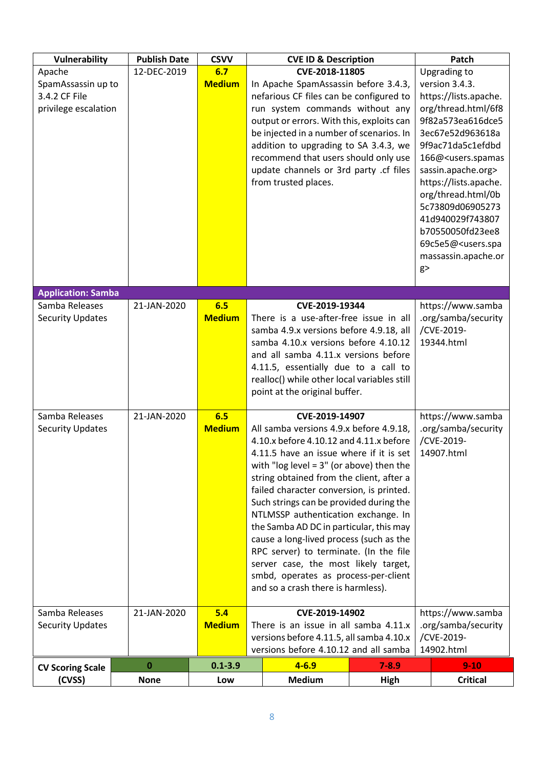| Vulnerability                                                         | <b>Publish Date</b> | <b>CSVV</b>          |                                                                                                                                                                                                                                                                                                                                                                                                                                                                                                                                                                                                                               | <b>CVE ID &amp; Description</b> |                                                                                                                                                                                                                                                                                                                                                                                                 | Patch                                                                |
|-----------------------------------------------------------------------|---------------------|----------------------|-------------------------------------------------------------------------------------------------------------------------------------------------------------------------------------------------------------------------------------------------------------------------------------------------------------------------------------------------------------------------------------------------------------------------------------------------------------------------------------------------------------------------------------------------------------------------------------------------------------------------------|---------------------------------|-------------------------------------------------------------------------------------------------------------------------------------------------------------------------------------------------------------------------------------------------------------------------------------------------------------------------------------------------------------------------------------------------|----------------------------------------------------------------------|
| Apache<br>SpamAssassin up to<br>3.4.2 CF File<br>privilege escalation | 12-DEC-2019         | 6.7<br><b>Medium</b> | CVE-2018-11805<br>In Apache SpamAssassin before 3.4.3,<br>nefarious CF files can be configured to<br>run system commands without any<br>output or errors. With this, exploits can<br>be injected in a number of scenarios. In<br>addition to upgrading to SA 3.4.3, we<br>recommend that users should only use<br>update channels or 3rd party .cf files<br>from trusted places.                                                                                                                                                                                                                                              |                                 | Upgrading to<br>version 3.4.3.<br>https://lists.apache.<br>org/thread.html/6f8<br>9f82a573ea616dce5<br>3ec67e52d963618a<br>9f9ac71da5c1efdbd<br>166@ <users.spamas<br>sassin.apache.org&gt;<br/>https://lists.apache.<br/>org/thread.html/0b<br/>5c73809d06905273<br/>41d940029f743807<br/>b70550050fd23ee8<br/>69c5e5@<users.spa<br>massassin.apache.or<br/>g</users.spa<br></users.spamas<br> |                                                                      |
| <b>Application: Samba</b>                                             |                     |                      |                                                                                                                                                                                                                                                                                                                                                                                                                                                                                                                                                                                                                               |                                 |                                                                                                                                                                                                                                                                                                                                                                                                 |                                                                      |
| Samba Releases<br><b>Security Updates</b>                             | 21-JAN-2020         | 6.5<br><b>Medium</b> | CVE-2019-19344<br>There is a use-after-free issue in all<br>samba 4.9.x versions before 4.9.18, all<br>samba 4.10.x versions before 4.10.12<br>and all samba 4.11.x versions before<br>4.11.5, essentially due to a call to<br>realloc() while other local variables still<br>point at the original buffer.                                                                                                                                                                                                                                                                                                                   |                                 | https://www.samba<br>.org/samba/security<br>/CVE-2019-<br>19344.html                                                                                                                                                                                                                                                                                                                            |                                                                      |
| Samba Releases<br><b>Security Updates</b>                             | 21-JAN-2020         | 6.5<br><b>Medium</b> | CVE-2019-14907<br>All samba versions 4.9.x before 4.9.18,<br>4.10.x before 4.10.12 and 4.11.x before<br>4.11.5 have an issue where if it is set<br>with "log level = $3"$ (or above) then the<br>string obtained from the client, after a<br>failed character conversion, is printed.<br>Such strings can be provided during the<br>NTLMSSP authentication exchange. In<br>the Samba AD DC in particular, this may<br>cause a long-lived process (such as the<br>RPC server) to terminate. (In the file<br>server case, the most likely target,<br>smbd, operates as process-per-client<br>and so a crash there is harmless). |                                 | https://www.samba<br>.org/samba/security<br>/CVE-2019-<br>14907.html                                                                                                                                                                                                                                                                                                                            |                                                                      |
| Samba Releases<br><b>Security Updates</b>                             | 21-JAN-2020         | 5.4<br><b>Medium</b> | CVE-2019-14902<br>There is an issue in all samba 4.11.x<br>versions before 4.11.5, all samba 4.10.x<br>versions before 4.10.12 and all samba                                                                                                                                                                                                                                                                                                                                                                                                                                                                                  |                                 |                                                                                                                                                                                                                                                                                                                                                                                                 | https://www.samba<br>.org/samba/security<br>/CVE-2019-<br>14902.html |
|                                                                       | 0                   | $0.1 - 3.9$          |                                                                                                                                                                                                                                                                                                                                                                                                                                                                                                                                                                                                                               | $4 - 6.9$                       | $7 - 8.9$                                                                                                                                                                                                                                                                                                                                                                                       | $9 - 10$                                                             |
| <b>CV Scoring Scale</b><br>(CVSS)                                     | <b>None</b>         | Low                  | <b>Medium</b><br><b>High</b>                                                                                                                                                                                                                                                                                                                                                                                                                                                                                                                                                                                                  |                                 | <b>Critical</b>                                                                                                                                                                                                                                                                                                                                                                                 |                                                                      |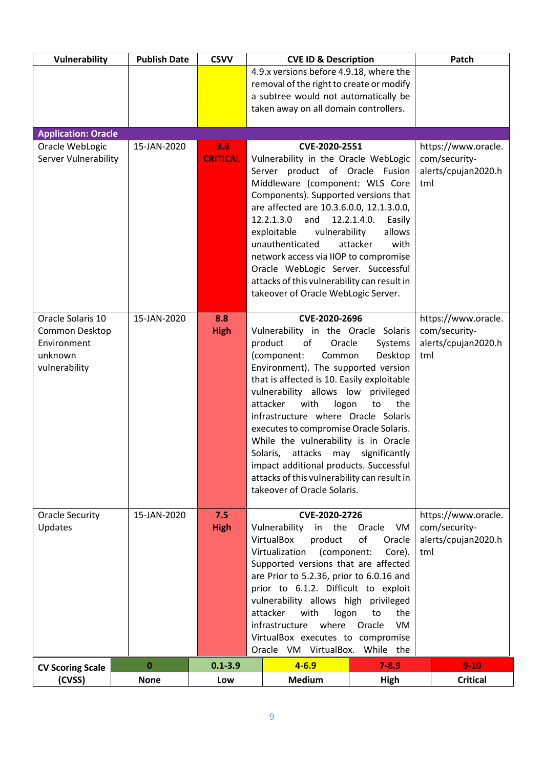| Vulnerability                                                                  | <b>Publish Date</b> | <b>CSVV</b>            | <b>CVE ID &amp; Description</b>                                                                                                                                                                                                                                                                                                                                                                                                                                                                                                                                                                         |                                                     | Patch                                                              |
|--------------------------------------------------------------------------------|---------------------|------------------------|---------------------------------------------------------------------------------------------------------------------------------------------------------------------------------------------------------------------------------------------------------------------------------------------------------------------------------------------------------------------------------------------------------------------------------------------------------------------------------------------------------------------------------------------------------------------------------------------------------|-----------------------------------------------------|--------------------------------------------------------------------|
|                                                                                |                     |                        | 4.9.x versions before 4.9.18, where the                                                                                                                                                                                                                                                                                                                                                                                                                                                                                                                                                                 |                                                     |                                                                    |
|                                                                                |                     |                        | removal of the right to create or modify<br>a subtree would not automatically be                                                                                                                                                                                                                                                                                                                                                                                                                                                                                                                        |                                                     |                                                                    |
|                                                                                |                     |                        | taken away on all domain controllers.                                                                                                                                                                                                                                                                                                                                                                                                                                                                                                                                                                   |                                                     |                                                                    |
|                                                                                |                     |                        |                                                                                                                                                                                                                                                                                                                                                                                                                                                                                                                                                                                                         |                                                     |                                                                    |
| <b>Application: Oracle</b>                                                     |                     |                        |                                                                                                                                                                                                                                                                                                                                                                                                                                                                                                                                                                                                         |                                                     |                                                                    |
| Oracle WebLogic<br>Server Vulnerability                                        | 15-JAN-2020         | 9.8<br><b>CRITICAL</b> | CVE-2020-2551<br>Vulnerability in the Oracle WebLogic<br>Server product of Oracle Fusion<br>Middleware (component: WLS Core<br>Components). Supported versions that<br>are affected are 10.3.6.0.0, 12.1.3.0.0,<br>12.2.1.3.0<br>and<br>exploitable<br>vulnerability<br>unauthenticated<br>network access via IIOP to compromise<br>Oracle WebLogic Server. Successful<br>attacks of this vulnerability can result in<br>takeover of Oracle WebLogic Server.                                                                                                                                            | 12.2.1.4.0.<br>Easily<br>allows<br>with<br>attacker | https://www.oracle.<br>com/security-<br>alerts/cpujan2020.h<br>tml |
| Oracle Solaris 10<br>Common Desktop<br>Environment<br>unknown<br>vulnerability | 15-JAN-2020         | 8.8<br><b>High</b>     | CVE-2020-2696<br>Vulnerability in the Oracle Solaris<br>product<br>of<br>Oracle<br>Systems<br>(component:<br>Common<br>Desktop<br>Environment). The supported version<br>that is affected is 10. Easily exploitable<br>vulnerability allows low<br>privileged<br>attacker<br>with<br>logon<br>the<br>to<br>infrastructure where Oracle Solaris<br>executes to compromise Oracle Solaris.<br>While the vulnerability is in Oracle<br>attacks<br>significantly<br>Solaris,<br>may<br>impact additional products. Successful<br>attacks of this vulnerability can result in<br>takeover of Oracle Solaris. |                                                     | https://www.oracle.<br>com/security-<br>alerts/cpujan2020.h<br>tml |
| Oracle Security<br>Updates                                                     | 15-JAN-2020         | 7.5<br><b>High</b>     | CVE-2020-2726<br>Vulnerability<br>the<br>in<br>VirtualBox                                                                                                                                                                                                                                                                                                                                                                                                                                                                                                                                               | VM<br>Oracle<br>of                                  | https://www.oracle.<br>com/security-                               |
|                                                                                |                     |                        | product<br>(component:<br>Virtualization                                                                                                                                                                                                                                                                                                                                                                                                                                                                                                                                                                | Oracle<br>Core).                                    | alerts/cpujan2020.h<br>tml                                         |
|                                                                                |                     |                        | Supported versions that are affected<br>are Prior to 5.2.36, prior to 6.0.16 and                                                                                                                                                                                                                                                                                                                                                                                                                                                                                                                        |                                                     |                                                                    |
|                                                                                |                     |                        | prior to 6.1.2. Difficult to exploit                                                                                                                                                                                                                                                                                                                                                                                                                                                                                                                                                                    |                                                     |                                                                    |
|                                                                                |                     |                        | vulnerability allows high privileged                                                                                                                                                                                                                                                                                                                                                                                                                                                                                                                                                                    |                                                     |                                                                    |
|                                                                                |                     |                        | attacker<br>with<br>logon<br>infrastructure<br>where                                                                                                                                                                                                                                                                                                                                                                                                                                                                                                                                                    | the<br>to<br>Oracle<br>VM                           |                                                                    |
|                                                                                |                     |                        | VirtualBox executes to compromise                                                                                                                                                                                                                                                                                                                                                                                                                                                                                                                                                                       |                                                     |                                                                    |
|                                                                                |                     |                        | Oracle VM VirtualBox. While the                                                                                                                                                                                                                                                                                                                                                                                                                                                                                                                                                                         |                                                     |                                                                    |
| <b>CV Scoring Scale</b>                                                        | $\pmb{0}$           | $0.1 - 3.9$            | $4 - 6.9$                                                                                                                                                                                                                                                                                                                                                                                                                                                                                                                                                                                               | $7 - 8.9$                                           | $9 - 10$                                                           |
| (CVSS)                                                                         | <b>None</b>         | Low                    | <b>Medium</b>                                                                                                                                                                                                                                                                                                                                                                                                                                                                                                                                                                                           | <b>High</b>                                         | <b>Critical</b>                                                    |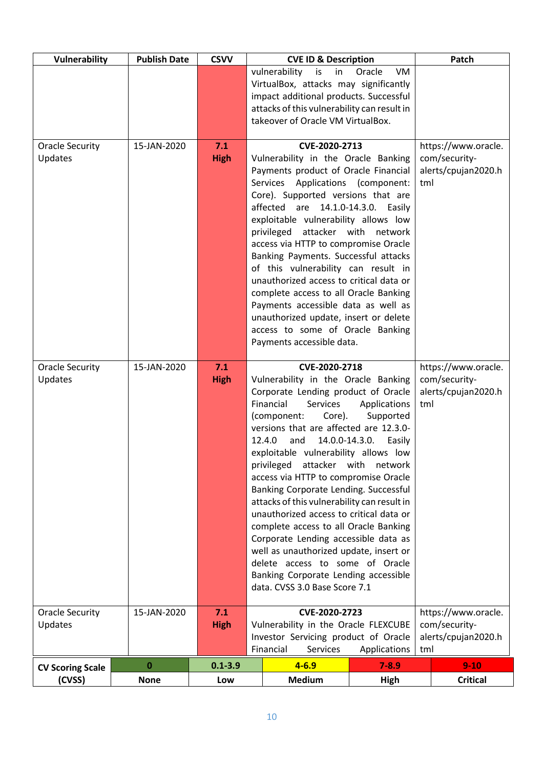| Vulnerability                     | <b>Publish Date</b> | <b>CSVV</b>        |                                                                                                                                                                                                                                                                                                                                                                                                                                                                                                                                                                                                                                                                                                                                                                              | <b>CVE ID &amp; Description</b> |                                                                    | Patch                                                              |
|-----------------------------------|---------------------|--------------------|------------------------------------------------------------------------------------------------------------------------------------------------------------------------------------------------------------------------------------------------------------------------------------------------------------------------------------------------------------------------------------------------------------------------------------------------------------------------------------------------------------------------------------------------------------------------------------------------------------------------------------------------------------------------------------------------------------------------------------------------------------------------------|---------------------------------|--------------------------------------------------------------------|--------------------------------------------------------------------|
|                                   |                     |                    | Oracle<br>vulnerability<br>is<br>VM<br>in<br>VirtualBox, attacks may significantly<br>impact additional products. Successful<br>attacks of this vulnerability can result in<br>takeover of Oracle VM VirtualBox.                                                                                                                                                                                                                                                                                                                                                                                                                                                                                                                                                             |                                 |                                                                    |                                                                    |
| Oracle Security<br>Updates        | 15-JAN-2020         | 7.1<br><b>High</b> | CVE-2020-2713<br>Vulnerability in the Oracle Banking<br>Payments product of Oracle Financial<br>Services Applications (component:<br>Core). Supported versions that are<br>affected are 14.1.0-14.3.0. Easily<br>exploitable vulnerability allows low<br>privileged<br>attacker with network<br>access via HTTP to compromise Oracle<br>Banking Payments. Successful attacks<br>of this vulnerability can result in<br>unauthorized access to critical data or<br>complete access to all Oracle Banking<br>Payments accessible data as well as<br>unauthorized update, insert or delete<br>access to some of Oracle Banking<br>Payments accessible data.                                                                                                                     |                                 |                                                                    | https://www.oracle.<br>com/security-<br>alerts/cpujan2020.h<br>tml |
| <b>Oracle Security</b><br>Updates | 15-JAN-2020         | 7.1<br><b>High</b> | CVE-2020-2718<br>Vulnerability in the Oracle Banking<br>Corporate Lending product of Oracle<br>Financial<br><b>Services</b><br>Applications<br>(component:<br>Core).<br>Supported<br>versions that are affected are 12.3.0-<br>12.4.0<br>14.0.0-14.3.0.<br>and<br>Easily<br>exploitable vulnerability allows low<br>privileged<br>attacker with<br>network<br>access via HTTP to compromise Oracle<br>Banking Corporate Lending. Successful<br>attacks of this vulnerability can result in<br>unauthorized access to critical data or<br>complete access to all Oracle Banking<br>Corporate Lending accessible data as<br>well as unauthorized update, insert or<br>delete access to some of Oracle<br>Banking Corporate Lending accessible<br>data. CVSS 3.0 Base Score 7.1 |                                 | https://www.oracle.<br>com/security-<br>alerts/cpujan2020.h<br>tml |                                                                    |
| <b>Oracle Security</b><br>Updates | 15-JAN-2020         | 7.1<br><b>High</b> | CVE-2020-2723<br>Vulnerability in the Oracle FLEXCUBE<br>Investor Servicing product of Oracle<br>Financial<br>Services<br>Applications                                                                                                                                                                                                                                                                                                                                                                                                                                                                                                                                                                                                                                       |                                 |                                                                    | https://www.oracle.<br>com/security-<br>alerts/cpujan2020.h<br>tml |
| <b>CV Scoring Scale</b>           | $\bf{0}$            | $0.1 - 3.9$        |                                                                                                                                                                                                                                                                                                                                                                                                                                                                                                                                                                                                                                                                                                                                                                              | $4 - 6.9$                       | $7 - 8.9$                                                          | $9 - 10$                                                           |
| (CVSS)                            | <b>None</b>         | Low                |                                                                                                                                                                                                                                                                                                                                                                                                                                                                                                                                                                                                                                                                                                                                                                              | <b>Medium</b>                   | High                                                               | <b>Critical</b>                                                    |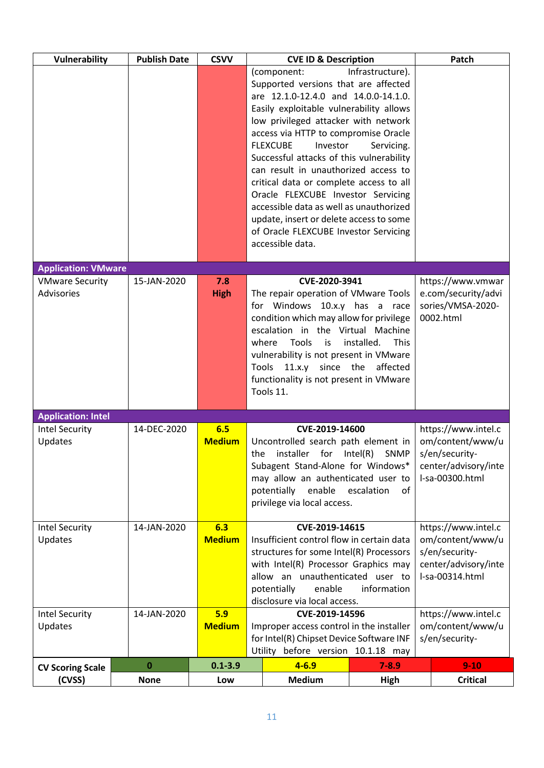| <b>Vulnerability</b>                        | <b>Publish Date</b> | <b>CSVV</b>                                                                  |                                                                                                       | <b>CVE ID &amp; Description</b>                                                  |                                         | Patch                                    |
|---------------------------------------------|---------------------|------------------------------------------------------------------------------|-------------------------------------------------------------------------------------------------------|----------------------------------------------------------------------------------|-----------------------------------------|------------------------------------------|
|                                             |                     |                                                                              |                                                                                                       | (component:<br>Supported versions that are affected                              | Infrastructure).                        |                                          |
|                                             |                     |                                                                              |                                                                                                       | are 12.1.0-12.4.0 and 14.0.0-14.1.0.                                             |                                         |                                          |
|                                             |                     |                                                                              |                                                                                                       | Easily exploitable vulnerability allows<br>low privileged attacker with network  |                                         |                                          |
|                                             |                     |                                                                              |                                                                                                       | access via HTTP to compromise Oracle                                             |                                         |                                          |
|                                             |                     |                                                                              | <b>FLEXCUBE</b><br>Investor<br>Servicing.<br>Successful attacks of this vulnerability                 |                                                                                  |                                         |                                          |
|                                             |                     |                                                                              |                                                                                                       | can result in unauthorized access to                                             |                                         |                                          |
|                                             |                     |                                                                              |                                                                                                       | critical data or complete access to all<br>Oracle FLEXCUBE Investor Servicing    |                                         |                                          |
|                                             |                     |                                                                              |                                                                                                       | accessible data as well as unauthorized                                          |                                         |                                          |
|                                             |                     |                                                                              |                                                                                                       | update, insert or delete access to some<br>of Oracle FLEXCUBE Investor Servicing |                                         |                                          |
|                                             |                     |                                                                              |                                                                                                       | accessible data.                                                                 |                                         |                                          |
| <b>Application: VMware</b>                  |                     |                                                                              |                                                                                                       |                                                                                  |                                         |                                          |
| <b>VMware Security</b><br><b>Advisories</b> | 15-JAN-2020         | 7.8<br><b>High</b>                                                           |                                                                                                       | CVE-2020-3941<br>The repair operation of VMware Tools                            |                                         | https://www.vmwar<br>e.com/security/advi |
|                                             |                     |                                                                              |                                                                                                       | for Windows 10.x.y has a race                                                    |                                         | sories/VMSA-2020-                        |
|                                             |                     |                                                                              |                                                                                                       | condition which may allow for privilege<br>escalation in the Virtual Machine     |                                         | 0002.html                                |
|                                             |                     |                                                                              |                                                                                                       | where<br>Tools<br>is                                                             | This<br>installed.                      |                                          |
|                                             |                     | vulnerability is not present in VMware<br>11.x.y since the affected<br>Tools |                                                                                                       |                                                                                  |                                         |                                          |
|                                             |                     |                                                                              |                                                                                                       | functionality is not present in VMware                                           |                                         |                                          |
|                                             |                     |                                                                              |                                                                                                       | Tools 11.                                                                        |                                         |                                          |
| <b>Application: Intel</b>                   |                     |                                                                              |                                                                                                       |                                                                                  |                                         |                                          |
| <b>Intel Security</b><br>Updates            | 14-DEC-2020         | 6.5<br><b>Medium</b>                                                         |                                                                                                       | CVE-2019-14600<br>Uncontrolled search path element in                            |                                         | https://www.intel.c<br>om/content/www/u  |
|                                             |                     |                                                                              | the                                                                                                   | installer for                                                                    | Intel(R)<br><b>SNMP</b>                 | s/en/security-                           |
|                                             |                     |                                                                              |                                                                                                       | Subagent Stand-Alone for Windows*<br>may allow an authenticated user to          |                                         | center/advisory/inte<br>I-sa-00300.html  |
|                                             |                     |                                                                              | potentially enable<br>of<br>escalation                                                                |                                                                                  |                                         |                                          |
|                                             |                     |                                                                              |                                                                                                       | privilege via local access.                                                      |                                         |                                          |
| <b>Intel Security</b>                       | 14-JAN-2020         | 6.3                                                                          |                                                                                                       | CVE-2019-14615                                                                   |                                         | https://www.intel.c                      |
| Updates                                     |                     |                                                                              | <b>Medium</b><br>Insufficient control flow in certain data<br>structures for some Intel(R) Processors |                                                                                  | om/content/www/u<br>s/en/security-      |                                          |
|                                             |                     |                                                                              | with Intel(R) Processor Graphics may                                                                  |                                                                                  |                                         | center/advisory/inte                     |
|                                             |                     | allow an unauthenticated user to<br>potentially<br>enable<br>information     |                                                                                                       | I-sa-00314.html                                                                  |                                         |                                          |
|                                             |                     |                                                                              | disclosure via local access.                                                                          |                                                                                  |                                         |                                          |
| <b>Intel Security</b><br>Updates            | 14-JAN-2020         | <b>Medium</b>                                                                | 5.9<br>CVE-2019-14596                                                                                 |                                                                                  | https://www.intel.c<br>om/content/www/u |                                          |
|                                             |                     |                                                                              | Improper access control in the installer<br>for Intel(R) Chipset Device Software INF                  |                                                                                  | s/en/security-                          |                                          |
|                                             |                     |                                                                              | Utility before version 10.1.18 may                                                                    |                                                                                  |                                         |                                          |
| <b>CV Scoring Scale</b>                     | 0                   | $0.1 - 3.9$                                                                  |                                                                                                       | $4 - 6.9$                                                                        | $7 - 8.9$                               | $9 - 10$                                 |
| (CVSS)                                      | <b>None</b>         | Low                                                                          |                                                                                                       | <b>Medium</b>                                                                    | High                                    | <b>Critical</b>                          |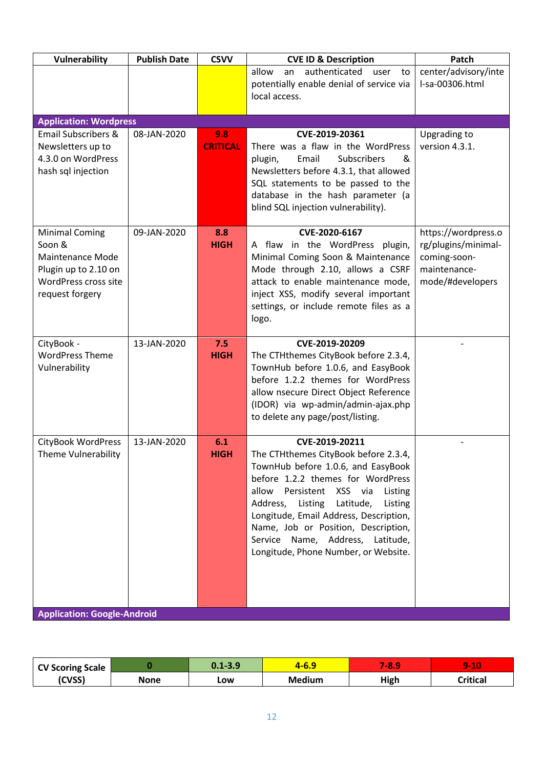| Vulnerability                                                                                                          | <b>Publish Date</b> | <b>CSVV</b>            | <b>CVE ID &amp; Description</b>                                                                                                                                                                                                                                                                                                                                                   | Patch                                                                                          |
|------------------------------------------------------------------------------------------------------------------------|---------------------|------------------------|-----------------------------------------------------------------------------------------------------------------------------------------------------------------------------------------------------------------------------------------------------------------------------------------------------------------------------------------------------------------------------------|------------------------------------------------------------------------------------------------|
|                                                                                                                        |                     |                        | allow<br>authenticated<br>an<br>user<br>to<br>potentially enable denial of service via                                                                                                                                                                                                                                                                                            | center/advisory/inte<br>I-sa-00306.html                                                        |
|                                                                                                                        |                     |                        | local access.                                                                                                                                                                                                                                                                                                                                                                     |                                                                                                |
| <b>Application: Wordpress</b>                                                                                          |                     |                        |                                                                                                                                                                                                                                                                                                                                                                                   |                                                                                                |
| <b>Email Subscribers &amp;</b><br>Newsletters up to<br>4.3.0 on WordPress<br>hash sql injection                        | 08-JAN-2020         | 9.8<br><b>CRITICAL</b> | CVE-2019-20361<br>There was a flaw in the WordPress<br>Subscribers<br>Email<br>plugin,<br>&<br>Newsletters before 4.3.1, that allowed<br>SQL statements to be passed to the<br>database in the hash parameter (a<br>blind SQL injection vulnerability).                                                                                                                           | Upgrading to<br>version 4.3.1.                                                                 |
| <b>Minimal Coming</b><br>Soon &<br>Maintenance Mode<br>Plugin up to 2.10 on<br>WordPress cross site<br>request forgery | 09-JAN-2020         | 8.8<br><b>HIGH</b>     | CVE-2020-6167<br>A flaw in the WordPress plugin,<br>Minimal Coming Soon & Maintenance<br>Mode through 2.10, allows a CSRF<br>attack to enable maintenance mode,<br>inject XSS, modify several important<br>settings, or include remote files as a<br>logo.                                                                                                                        | https://wordpress.o<br>rg/plugins/minimal-<br>coming-soon-<br>maintenance-<br>mode/#developers |
| CityBook -<br><b>WordPress Theme</b><br>Vulnerability                                                                  | 13-JAN-2020         | 7.5<br><b>HIGH</b>     | CVE-2019-20209<br>The CTHthemes CityBook before 2.3.4,<br>TownHub before 1.0.6, and EasyBook<br>before 1.2.2 themes for WordPress<br>allow nsecure Direct Object Reference<br>(IDOR) via wp-admin/admin-ajax.php<br>to delete any page/post/listing.                                                                                                                              |                                                                                                |
| CityBook WordPress<br><b>Theme Vulnerability</b>                                                                       | 13-JAN-2020         | 6.1<br><b>HIGH</b>     | CVE-2019-20211<br>The CTHthemes CityBook before 2.3.4,<br>TownHub before 1.0.6, and EasyBook<br>before 1.2.2 themes for WordPress<br>allow<br>Persistent XSS via<br>Listing<br>Address, Listing Latitude,<br>Listing<br>Longitude, Email Address, Description,<br>Name, Job or Position, Description,<br>Service Name, Address, Latitude,<br>Longitude, Phone Number, or Website. |                                                                                                |
| <b>Application: Google-Android</b>                                                                                     |                     |                        |                                                                                                                                                                                                                                                                                                                                                                                   |                                                                                                |

| <b>CV Scoring Scale</b> |      | $0.1 - 3.9$ | 4-6.9         | <b>A8.9</b> | $9 - 10$ |
|-------------------------|------|-------------|---------------|-------------|----------|
| (CVSS)                  | None | LOW         | <b>Medium</b> | <b>High</b> | Critical |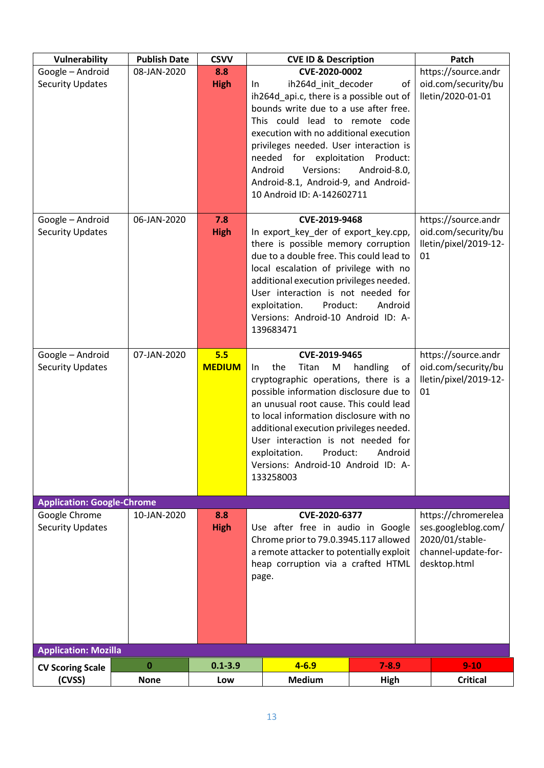| Vulnerability                     | <b>Publish Date</b> | <b>CSVV</b>   |       | <b>CVE ID &amp; Description</b>                                                   |                | Patch                                  |
|-----------------------------------|---------------------|---------------|-------|-----------------------------------------------------------------------------------|----------------|----------------------------------------|
| Google - Android                  | 08-JAN-2020         | 8.8           |       | CVE-2020-0002                                                                     |                | https://source.andr                    |
| <b>Security Updates</b>           |                     | <b>High</b>   | In    | ih264d_init_decoder                                                               | of             | oid.com/security/bu                    |
|                                   |                     |               |       | ih264d_api.c, there is a possible out of<br>bounds write due to a use after free. |                | lletin/2020-01-01                      |
|                                   |                     |               |       | This could lead to remote code                                                    |                |                                        |
|                                   |                     |               |       | execution with no additional execution                                            |                |                                        |
|                                   |                     |               |       | privileges needed. User interaction is                                            |                |                                        |
|                                   |                     |               |       | needed for exploitation                                                           | Product:       |                                        |
|                                   |                     |               |       | Android<br>Versions:                                                              | Android-8.0,   |                                        |
|                                   |                     |               |       | Android-8.1, Android-9, and Android-                                              |                |                                        |
|                                   |                     |               |       | 10 Android ID: A-142602711                                                        |                |                                        |
| Google - Android                  | 06-JAN-2020         | 7.8           |       | CVE-2019-9468                                                                     |                | https://source.andr                    |
| <b>Security Updates</b>           |                     | <b>High</b>   |       | In export key der of export key.cpp,                                              |                | oid.com/security/bu                    |
|                                   |                     |               |       | there is possible memory corruption                                               |                | lletin/pixel/2019-12-                  |
|                                   |                     |               |       | due to a double free. This could lead to                                          |                | 01                                     |
|                                   |                     |               |       | local escalation of privilege with no                                             |                |                                        |
|                                   |                     |               |       | additional execution privileges needed.                                           |                |                                        |
|                                   |                     |               |       | User interaction is not needed for<br>exploitation.<br>Product:                   | Android        |                                        |
|                                   |                     |               |       | Versions: Android-10 Android ID: A-                                               |                |                                        |
|                                   |                     |               |       | 139683471                                                                         |                |                                        |
|                                   |                     |               |       |                                                                                   |                |                                        |
| Google - Android                  | 07-JAN-2020         | 5.5           |       | CVE-2019-9465                                                                     |                | https://source.andr                    |
| <b>Security Updates</b>           |                     | <b>MEDIUM</b> | In.   | the<br>Titan<br>M                                                                 | handling<br>of | oid.com/security/bu                    |
|                                   |                     |               |       | cryptographic operations, there is a<br>possible information disclosure due to    |                | lletin/pixel/2019-12-<br>01            |
|                                   |                     |               |       | an unusual root cause. This could lead                                            |                |                                        |
|                                   |                     |               |       | to local information disclosure with no                                           |                |                                        |
|                                   |                     |               |       | additional execution privileges needed.                                           |                |                                        |
|                                   |                     |               |       | User interaction is not needed for                                                |                |                                        |
|                                   |                     |               |       | Product:<br>exploitation.                                                         | Android        |                                        |
|                                   |                     |               |       | Versions: Android-10 Android ID: A-                                               |                |                                        |
|                                   |                     |               |       | 133258003                                                                         |                |                                        |
| <b>Application: Google-Chrome</b> |                     |               |       |                                                                                   |                |                                        |
| Google Chrome                     | 10-JAN-2020         | 8.8           |       | CVE-2020-6377                                                                     |                | https://chromerelea                    |
| <b>Security Updates</b>           |                     | <b>High</b>   |       | Use after free in audio in Google                                                 |                | ses.googleblog.com/                    |
|                                   |                     |               |       | Chrome prior to 79.0.3945.117 allowed<br>a remote attacker to potentially exploit |                | 2020/01/stable-<br>channel-update-for- |
|                                   |                     |               |       | heap corruption via a crafted HTML                                                |                | desktop.html                           |
|                                   |                     |               | page. |                                                                                   |                |                                        |
|                                   |                     |               |       |                                                                                   |                |                                        |
|                                   |                     |               |       |                                                                                   |                |                                        |
|                                   |                     |               |       |                                                                                   |                |                                        |
|                                   |                     |               |       |                                                                                   |                |                                        |
| <b>Application: Mozilla</b>       |                     |               |       |                                                                                   |                |                                        |
| <b>CV Scoring Scale</b>           | $\bf{0}$            | $0.1 - 3.9$   |       | $4 - 6.9$                                                                         | $7 - 8.9$      | $9 - 10$                               |
| (CVSS)                            | <b>None</b>         | Low           |       | <b>Medium</b>                                                                     | <b>High</b>    | <b>Critical</b>                        |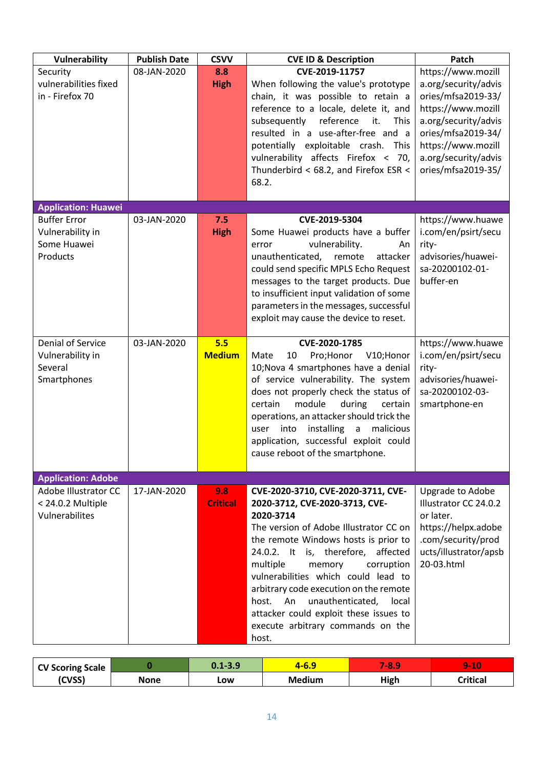| Vulnerability                                                          | <b>Publish Date</b> | <b>CSVV</b>            | <b>CVE ID &amp; Description</b>                                                                                                                                                                                                                                                                                                                                                                                                                                    | Patch                                                                                                                                                                                                    |
|------------------------------------------------------------------------|---------------------|------------------------|--------------------------------------------------------------------------------------------------------------------------------------------------------------------------------------------------------------------------------------------------------------------------------------------------------------------------------------------------------------------------------------------------------------------------------------------------------------------|----------------------------------------------------------------------------------------------------------------------------------------------------------------------------------------------------------|
| Security<br>vulnerabilities fixed<br>in - Firefox 70                   | 08-JAN-2020         | 8.8<br><b>High</b>     | CVE-2019-11757<br>When following the value's prototype<br>chain, it was possible to retain a<br>reference to a locale, delete it, and<br>subsequently<br>reference<br>it.<br><b>This</b><br>resulted in a use-after-free and a<br>potentially exploitable crash. This<br>vulnerability affects Firefox < 70,<br>Thunderbird < 68.2, and Firefox ESR <<br>68.2.                                                                                                     | https://www.mozill<br>a.org/security/advis<br>ories/mfsa2019-33/<br>https://www.mozill<br>a.org/security/advis<br>ories/mfsa2019-34/<br>https://www.mozill<br>a.org/security/advis<br>ories/mfsa2019-35/ |
| <b>Application: Huawei</b>                                             |                     |                        |                                                                                                                                                                                                                                                                                                                                                                                                                                                                    |                                                                                                                                                                                                          |
| <b>Buffer Error</b><br>Vulnerability in<br>Some Huawei<br>Products     | 03-JAN-2020         | 7.5<br><b>High</b>     | CVE-2019-5304<br>Some Huawei products have a buffer<br>vulnerability.<br>error<br>An<br>unauthenticated, remote<br>attacker<br>could send specific MPLS Echo Request<br>messages to the target products. Due<br>to insufficient input validation of some<br>parameters in the messages, successful<br>exploit may cause the device to reset.                                                                                                                       | https://www.huawe<br>i.com/en/psirt/secu<br>rity-<br>advisories/huawei-<br>sa-20200102-01-<br>buffer-en                                                                                                  |
| <b>Denial of Service</b><br>Vulnerability in<br>Several<br>Smartphones | 03-JAN-2020         | 5.5<br><b>Medium</b>   | CVE-2020-1785<br>Mate<br>10<br>Pro;Honor V10;Honor<br>10; Nova 4 smartphones have a denial<br>of service vulnerability. The system<br>does not properly check the status of<br>certain<br>module<br>during<br>certain<br>operations, an attacker should trick the<br>into<br>installing<br>$\mathsf{a}$<br>malicious<br>user<br>application, successful exploit could<br>cause reboot of the smartphone.                                                           | https://www.huawe<br>i.com/en/psirt/secu<br>rity-<br>advisories/huawei-<br>sa-20200102-03-<br>smartphone-en                                                                                              |
| <b>Application: Adobe</b>                                              |                     |                        |                                                                                                                                                                                                                                                                                                                                                                                                                                                                    |                                                                                                                                                                                                          |
| Adobe Illustrator CC<br>< 24.0.2 Multiple<br>Vulnerabilites            | 17-JAN-2020         | 9.8<br><b>Critical</b> | CVE-2020-3710, CVE-2020-3711, CVE-<br>2020-3712, CVE-2020-3713, CVE-<br>2020-3714<br>The version of Adobe Illustrator CC on<br>the remote Windows hosts is prior to<br>24.0.2. It is, therefore, affected<br>multiple<br>memory<br>corruption<br>vulnerabilities which could lead to<br>arbitrary code execution on the remote<br>An<br>unauthenticated,<br>host.<br>local<br>attacker could exploit these issues to<br>execute arbitrary commands on the<br>host. | Upgrade to Adobe<br>Illustrator CC 24.0.2<br>or later.<br>https://helpx.adobe<br>.com/security/prod<br>ucts/illustrator/apsb<br>20-03.html                                                               |

| <b>CV Scoring Scale</b> |      | $0.1 - 3.9$ | <u>, v.J</u>  | o<br><b>ROLL</b> | ×<br><b>STATION:</b> |
|-------------------------|------|-------------|---------------|------------------|----------------------|
| (CVSS)                  | None | LOW         | <b>Medium</b> | High             | critical.            |